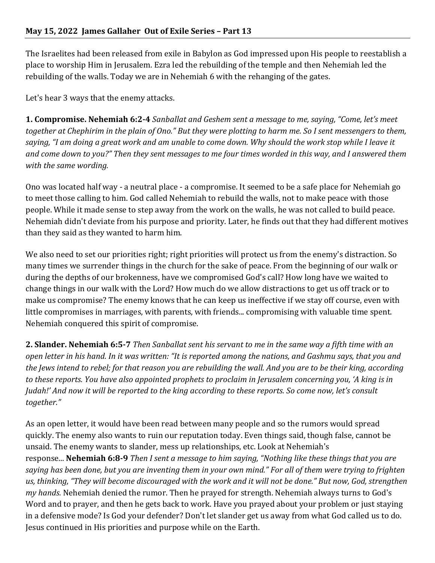The Israelites had been released from exile in Babylon as God impressed upon His people to reestablish a place to worship Him in Jerusalem. Ezra led the rebuilding of the temple and then Nehemiah led the rebuilding of the walls. Today we are in Nehemiah 6 with the rehanging of the gates.

Let's hear 3 ways that the enemy attacks.

**1. Compromise. Nehemiah 6:2-4** *Sanballat and Geshem sent a message to me, saying, "Come, let's meet together* at *Chephirim* in the plain of *Ono.*" But they were plotting to harm me. So I sent messengers to them, saying, "I am doing a great work and am unable to come down. Why should the work stop while I leave it *and come down to you?"* Then they sent messages to me four times worded in this way, and I answered them *with the same wording.* 

Ono was located half way - a neutral place - a compromise. It seemed to be a safe place for Nehemiah go to meet those calling to him. God called Nehemiah to rebuild the walls, not to make peace with those people. While it made sense to step away from the work on the walls, he was not called to build peace. Nehemiah didn't deviate from his purpose and priority. Later, he finds out that they had different motives than they said as they wanted to harm him.

We also need to set our priorities right; right priorities will protect us from the enemy's distraction. So many times we surrender things in the church for the sake of peace. From the beginning of our walk or during the depths of our brokenness, have we compromised God's call? How long have we waited to change things in our walk with the Lord? How much do we allow distractions to get us off track or to make us compromise? The enemy knows that he can keep us ineffective if we stay off course, even with little compromises in marriages, with parents, with friends... compromising with valuable time spent. Nehemiah conquered this spirit of compromise.

**2. Slander. Nehemiah 6:5-7** *Then Sanballat sent his servant to me in the same way a fifth time with an open letter in his hand. In it was written: "It is reported among the nations, and Gashmu says, that you and the lews intend to rebel; for that reason you are rebuilding the wall. And you are to be their king, according to* these reports. You have also appointed prophets to proclaim in Jerusalem concerning you, 'A king is in *Judah!'* And now it will be reported to the king according to these reports. So come now, let's consult *together."*

As an open letter, it would have been read between many people and so the rumors would spread quickly. The enemy also wants to ruin our reputation today. Even things said, though false, cannot be unsaid. The enemy wants to slander, mess up relationships, etc. Look at Nehemiah's response... **Nehemiah 6:8-9** *Then I sent a message to him saying, "Nothing like these things that you are saying has been done, but you are inventing them in your own mind." For all of them were trying to frighten us, thinking, "They will become discouraged with the work and it will not be done." But now, God, strengthen my hands.* Nehemiah denied the rumor. Then he prayed for strength. Nehemiah always turns to God's Word and to prayer, and then he gets back to work. Have you prayed about your problem or just staying in a defensive mode? Is God your defender? Don't let slander get us away from what God called us to do. Jesus continued in His priorities and purpose while on the Earth.